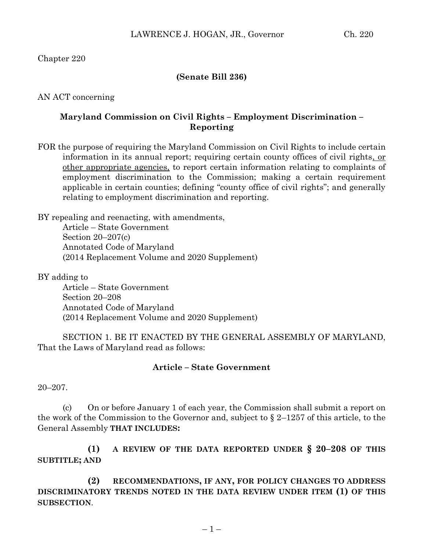Chapter 220

## **(Senate Bill 236)**

AN ACT concerning

# **Maryland Commission on Civil Rights – Employment Discrimination – Reporting**

FOR the purpose of requiring the Maryland Commission on Civil Rights to include certain information in its annual report; requiring certain county offices of civil rights, or other appropriate agencies, to report certain information relating to complaints of employment discrimination to the Commission; making a certain requirement applicable in certain counties; defining "county office of civil rights"; and generally relating to employment discrimination and reporting.

BY repealing and reenacting, with amendments,

Article – State Government Section 20–207(c) Annotated Code of Maryland (2014 Replacement Volume and 2020 Supplement)

BY adding to

Article – State Government Section 20–208 Annotated Code of Maryland (2014 Replacement Volume and 2020 Supplement)

SECTION 1. BE IT ENACTED BY THE GENERAL ASSEMBLY OF MARYLAND, That the Laws of Maryland read as follows:

### **Article – State Government**

20–207.

(c) On or before January 1 of each year, the Commission shall submit a report on the work of the Commission to the Governor and, subject to  $\S 2-1257$  of this article, to the General Assembly **THAT INCLUDES:**

**(1) A REVIEW OF THE DATA REPORTED UNDER § 20–208 OF THIS SUBTITLE; AND**

**(2) RECOMMENDATIONS, IF ANY, FOR POLICY CHANGES TO ADDRESS DISCRIMINATORY TRENDS NOTED IN THE DATA REVIEW UNDER ITEM (1) OF THIS SUBSECTION**.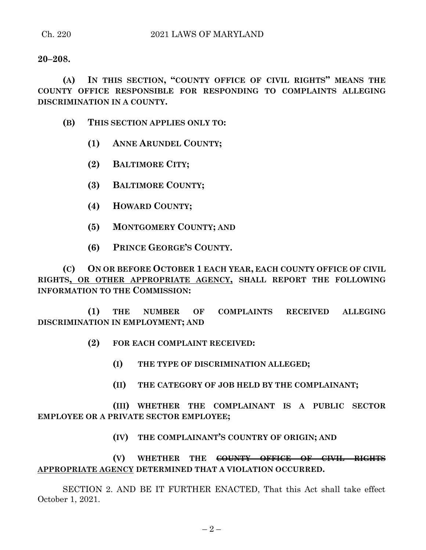#### **20–208.**

**(A) IN THIS SECTION, "COUNTY OFFICE OF CIVIL RIGHTS" MEANS THE COUNTY OFFICE RESPONSIBLE FOR RESPONDING TO COMPLAINTS ALLEGING DISCRIMINATION IN A COUNTY.**

- **(B) THIS SECTION APPLIES ONLY TO:**
	- **(1) ANNE ARUNDEL COUNTY;**
	- **(2) BALTIMORE CITY;**
	- **(3) BALTIMORE COUNTY;**
	- **(4) HOWARD COUNTY;**
	- **(5) MONTGOMERY COUNTY; AND**
	- **(6) PRINCE GEORGE'S COUNTY.**

**(C) ON OR BEFORE OCTOBER 1 EACH YEAR, EACH COUNTY OFFICE OF CIVIL RIGHTS, OR OTHER APPROPRIATE AGENCY, SHALL REPORT THE FOLLOWING INFORMATION TO THE COMMISSION:**

**(1) THE NUMBER OF COMPLAINTS RECEIVED ALLEGING DISCRIMINATION IN EMPLOYMENT; AND**

- **(2) FOR EACH COMPLAINT RECEIVED:**
	- **(I) THE TYPE OF DISCRIMINATION ALLEGED;**
	- **(II) THE CATEGORY OF JOB HELD BY THE COMPLAINANT;**

**(III) WHETHER THE COMPLAINANT IS A PUBLIC SECTOR EMPLOYEE OR A PRIVATE SECTOR EMPLOYEE;**

**(IV) THE COMPLAINANT'S COUNTRY OF ORIGIN; AND**

**(V) WHETHER THE COUNTY OFFICE OF CIVIL RIGHTS APPROPRIATE AGENCY DETERMINED THAT A VIOLATION OCCURRED.**

SECTION 2. AND BE IT FURTHER ENACTED, That this Act shall take effect October 1, 2021.